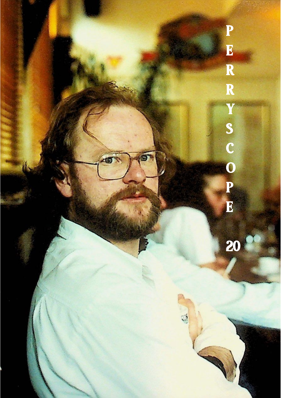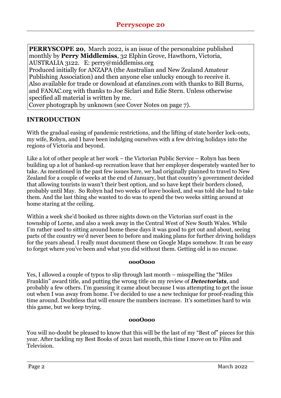**PERRYSCOPE 20**, March 2022, is an issue of the personalzine published monthly by **Perry Middlemiss**, 32 Elphin Grove, Hawthorn, Victoria, AUSTRALIA 3122. E: perry@middlemiss.org

Produced initially for ANZAPA (the Australian and New Zealand Amateur Publishing Association) and then anyone else unlucky enough to receive it. Also available for trade or download at efanzines.com with thanks to Bill Burns, and FANAC.org with thanks to Joe Siclari and Edie Stern. Unless otherwise specified all material is written by me.

Cover photograph by unknown (see Cover Notes on page 7).

## **INTRODUCTION**

With the gradual easing of pandemic restrictions, and the lifting of state border lock-outs, my wife, Robyn, and I have been indulging ourselves with a few driving holidays into the regions of Victoria and beyond.

Like a lot of other people at her work – the Victorian Public Service – Robyn has been building up a lot of banked-up recreation leave that her employer desperately wanted her to take. As mentioned in the past few issues here, we had originally planned to travel to New Zealand for a couple of weeks at the end of January, but that country's government decided that allowing tourists in wasn't their best option, and so have kept their borders closed, probably until May. So Robyn had two weeks of leave booked, and was told she had to take them. And the last thing she wanted to do was to spend the two weeks sitting around at home staring at the ceiling.

Within a week she'd booked us three nights down on the Victorian surf coast in the township of Lorne, and also a week away in the Central West of New South Wales. While I'm rather used to sitting around home these days it was good to get out and about, seeing parts of the country we'd never been to before and making plans for further driving holidays for the years ahead. I really must document these on Google Maps somehow. It can be easy to forget where you've been and what you did without them. Getting old is no excuse.

### **oooOooo**

Yes, I allowed a couple of typos to slip through last month – misspelling the "Miles Franklin" award title, and putting the wrong title on my review of *Detectorists*, and probably a few others. I'm guessing it came about because I was attempting to get the issue out when I was away from home. I've decided to use a new technique for proof-reading this time around. Doubtless that will ensure the numbers increase. It's sometimes hard to win this game, but we keep trying.

### **oooOooo**

You will no-doubt be pleased to know that this will be the last of my "Best of" pieces for this year. After tackling my Best Books of 2021 last month, this time I move on to Film and Television.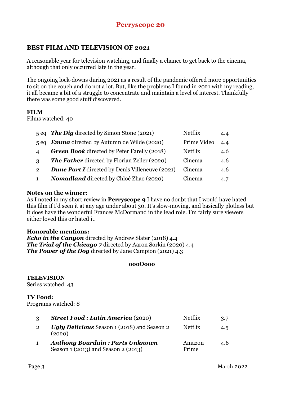## **BEST FILM AND TELEVISION OF 2021**

A reasonable year for television watching, and finally a chance to get back to the cinema, although that only occurred late in the year.

The ongoing lock-downs during 2021 as a result of the pandemic offered more opportunities to sit on the couch and do not a lot. But, like the problems I found in 2021 with my reading, it all became a bit of a struggle to concentrate and maintain a level of interest. Thankfully there was some good stuff discovered.

### **FILM**

Films watched: 40

|                 | 5 eq The Dig directed by Simon Stone (2021)            | <b>Netflix</b> | 4.4 |
|-----------------|--------------------------------------------------------|----------------|-----|
| 5 <sub>eq</sub> | <b>Emma</b> directed by Autumn de Wilde (2020)         | Prime Video    | 4.4 |
| 4               | <b>Green Book</b> directed by Peter Farelly (2018)     | <b>Netflix</b> | 4.6 |
| 3               | <b>The Father</b> directed by Florian Zeller (2020)    | Cinema         | 4.6 |
| $\overline{2}$  | <b>Dune Part I</b> directed by Denis Villeneuve (2021) | Cinema         | 4.6 |
| 1               | <b>Nomadland</b> directed by Chloé Zhao (2020)         | Cinema         | 4.7 |

### **Notes on the winner:**

As I noted in my short review in **Perryscope 9** I have no doubt that I would have hated this film if I'd seen it at any age under about 30. It's slow-moving, and basically plotless but it does have the wonderful Frances McDormand in the lead role. I'm fairly sure viewers either loved this or hated it.

### **Honorable mentions:**

*Echo in the Canyon* directed by Andrew Slater (2018) 4.4 *The Trial of the Chicago 7* directed by Aaron Sorkin (2020) 4.4 *The Power of the Dog* directed by Jane Campion (2021) 4.3

### **oooOooo**

#### **TELEVISION** Series watched: 43

**TV Food:**

Programs watched: 8

|                | <b>Street Food : Latin America (2020)</b>                                     | <b>Netflix</b>  | 3.7 |
|----------------|-------------------------------------------------------------------------------|-----------------|-----|
| $\overline{2}$ | <b>Ugly Delicious</b> Season 1 (2018) and Season 2<br>(2020)                  | <b>Netflix</b>  | 4.5 |
|                | <b>Anthony Bourdain: Parts Unknown</b><br>Season 1 (2013) and Season 2 (2013) | Amazon<br>Prime | 4.6 |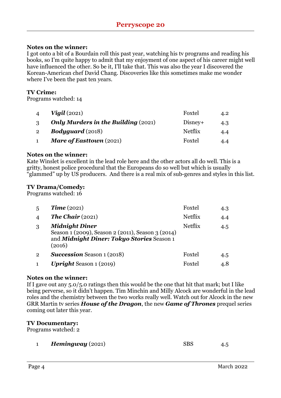### **Notes on the winner:**

I got onto a bit of a Bourdain roll this past year, watching his tv programs and reading his books, so I'm quite happy to admit that my enjoyment of one aspect of his career might well have influenced the other. So be it, I'll take that. This was also the year I discovered the Korean-American chef David Chang. Discoveries like this sometimes make me wonder where I've been the past ten years.

### **TV Crime:**

Programs watched: 14

| $\overline{4}$ | $V$ igil $(2021)$                          | Foxtel  | 4.2 |
|----------------|--------------------------------------------|---------|-----|
| $\mathbf{R}$   | <b>Only Murders in the Building (2021)</b> | Disney+ | 4.3 |
| $\overline{2}$ | <b>Bodyguard</b> $(2018)$                  | Netflix | 4.4 |
| $\mathbf{1}$   | <b>Mare of Easttown</b> $(2021)$           | Foxtel  | 4.4 |

### **Notes on the winner:**

Kate Winslet is excellent in the lead role here and the other actors all do well. This is a gritty, honest police procedural that the Europeans do so well but which is usually "glammed" up by US producers. And there is a real mix of sub-genres and styles in this list.

### **TV Drama/Comedy:**

Programs watched: 16

| 5              | Time(2021)                                                                                                                         | Foxtel         | 4.3 |
|----------------|------------------------------------------------------------------------------------------------------------------------------------|----------------|-----|
| 4              | The Chair $(2021)$                                                                                                                 | <b>Netflix</b> | 4.4 |
| 3              | <b>Midnight Diner</b><br>Season 1 (2009), Season 2 (2011), Season 3 (2014)<br>and Midnight Diner: Tokyo Stories Season 1<br>(2016) | <b>Netflix</b> | 4.5 |
| $\overline{2}$ | <b>Succession</b> Season 1 (2018)                                                                                                  | Foxtel         | 4.5 |
|                | <b>Upright</b> Season $1(2019)$                                                                                                    | Foxtel         | 4.8 |

### **Notes on the winner:**

If I gave out any 5.0/5.0 ratings then this would be the one that hit that mark; but I like being perverse, so it didn't happen. Tim Minchin and Milly Alcock are wonderful in the lead roles and the chemistry between the two works really well. Watch out for Alcock in the new GRR Martin tv series *House of the Dragon*, the new *Game of Thrones* prequel series coming out later this year.

### **TV Documentary:**

Programs watched: 2

| $H$ emingway (2021) | ${\rm SBS}$ |  |
|---------------------|-------------|--|
|---------------------|-------------|--|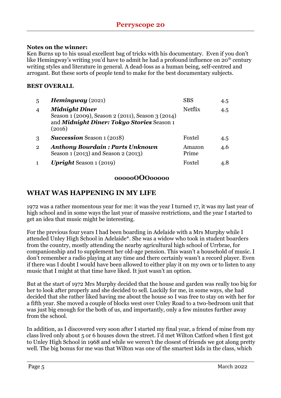### **Notes on the winner:**

Ken Burns up to his usual excellent bag of tricks with his documentary. Even if you don't like Hemingway's writing you'd have to admit he had a profound influence on  $20<sup>th</sup>$  century writing styles and literature in general. A dead-loss as a human being, self-centred and arrogant. But these sorts of people tend to make for the best documentary subjects.

### **BEST OVERALL**

| 5              | Heming way (2021)                                                                                                                  | <b>SBS</b>      | 4.5 |
|----------------|------------------------------------------------------------------------------------------------------------------------------------|-----------------|-----|
| 4              | <b>Midnight Diner</b><br>Season 1 (2009), Season 2 (2011), Season 3 (2014)<br>and Midnight Diner: Tokyo Stories Season 1<br>(2016) | Netflix         | 4.5 |
| 3              | <b>Succession</b> Season 1 (2018)                                                                                                  | Foxtel          | 4.5 |
| $\overline{2}$ | <b>Anthony Bourdain: Parts Unknown</b><br>Season 1 (2013) and Season 2 (2013)                                                      | Amazon<br>Prime | 4.6 |
|                | <b>Upright</b> Season $1(2019)$                                                                                                    | Foxtel          |     |

### **oooooOOOooooo**

## **WHAT WAS HAPPENING IN MY LIFE**

1972 was a rather momentous year for me: it was the year I turned 17, it was my last year of high school and in some ways the last year of massive restrictions, and the year I started to get an idea that music might be interesting.

For the previous four years I had been boarding in Adelaide with a Mrs Murphy while I attended Unley High School in Adelaide\*. She was a widow who took in student boarders from the country, mostly attending the nearby agricultural high school of Urrbrae, for companionship and to supplement her old-age pension. This wasn't a household of music. I don't remember a radio playing at any time and there certainly wasn't a record player. Even if there was I doubt I would have been allowed to either play it on my own or to listen to any music that I might at that time have liked. It just wasn't an option.

But at the start of 1972 Mrs Murphy decided that the house and garden was really too big for her to look after properly and she decided to sell. Luckily for me, in some ways, she had decided that she rather liked having me about the house so I was free to stay on with her for a fifth year. She moved a couple of blocks west over Unley Road to a two-bedroom unit that was just big enough for the both of us, and importantly, only a few minutes further away from the school.

In addition, as I discovered very soon after I started my final year, a friend of mine from my class lived only about 5 or 6 houses down the street. I'd met Wilton Catford when I first got to Unley High School in 1968 and while we weren't the closest of friends we got along pretty well. The big bonus for me was that Wilton was one of the smartest kids in the class, which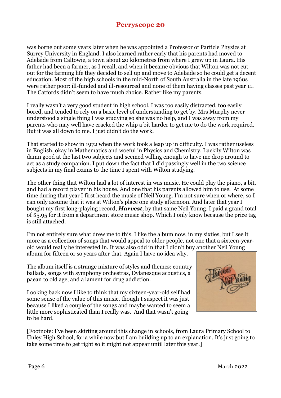was borne out some years later when he was appointed a Professor of Particle Physics at Surrey University in England. I also learned rather early that his parents had moved to Adelaide from Caltowie, a town about 20 kilometres from where I grew up in Laura. His father had been a farmer, as I recall, and when it became obvious that Wilton was not cut out for the farming life they decided to sell up and move to Adelaide so he could get a decent education. Most of the high schools in the mid-North of South Australia in the late 1960s were rather poor: ill-funded and ill-resourced and none of them having classes past year 11. The Catfords didn't seem to have much choice. Rather like my parents.

I really wasn't a very good student in high school. I was too easily distracted, too easily bored, and tended to rely on a basic level of understanding to get by. Mrs Murphy never understood a single thing I was studying so she was no help, and I was away from my parents who may well have cracked the whip a bit harder to get me to do the work required. But it was all down to me. I just didn't do the work.

That started to show in 1972 when the work took a leap up in difficulty. I was rather useless in English, okay in Mathematics and woeful in Physics and Chemistry. Luckily Wilton was damn good at the last two subjects and seemed willing enough to have me drop around to act as a study companion. I put down the fact that I did passingly well in the two science subjects in my final exams to the time I spent with Wilton studying.

The other thing that Wilton had a lot of interest in was music. He could play the piano, a bit, and had a record player in his house. And one that his parents allowed him to use. At some time during that year I first heard the music of Neil Young. I'm not sure when or where, so I can only assume that it was at Wilton's place one study afternoon. And later that year I bought my first long-playing record, *Harvest*, by that same Neil Young. I paid a grand total of \$5.95 for it from a department store music shop. Which I only know because the price tag is still attached.

I'm not entirely sure what drew me to this. I like the album now, in my sixties, but I see it more as a collection of songs that would appeal to older people, not one that a sixteen-yearold would really be interested in. It was also odd in that I didn't buy another Neil Young album for fifteen or so years after that. Again I have no idea why.

The album itself is a strange mixture of styles and themes: country ballads, songs with symphony orchestras, Dylanesque acoustics, a paean to old age, and a lament for drug addiction.

Looking back now I like to think that my sixteen-year-old self had some sense of the value of this music, though I suspect it was just because I liked a couple of the songs and maybe wanted to seem a little more sophisticated than I really was. And that wasn't going to be hard.



[Footnote: I've been skirting around this change in schools, from Laura Primary School to Unley High School, for a while now but I am building up to an explanation. It's just going to take some time to get right so it might not appear until later this year.]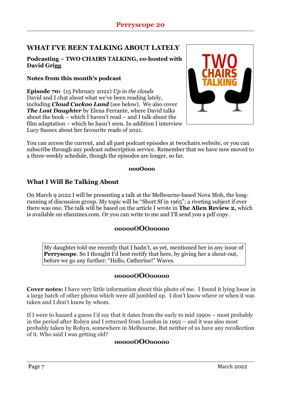# **WHAT I'VE BEEN TALKING ABOUT LATELY**

### **Podcasting – TWO CHAIRS TALKING, co-hosted with David Grigg**

## **Notes from this month's podcast**

**Episode 70:** (15 February 2022) *Up in the clouds* David and I chat about what we've been reading lately, including *Cloud Cuckoo Land* (see below). We also cover *The Lost Daughter* by Elena Ferrante, where David talks about the book – which I haven't read – and I talk about the film adaptation – which he hasn't seen. In addition I interview Lucy Sussex about her favourite reads of 2021.



You can access the current, and all past podcast episodes at twochairs.website, or you can subscribe through any podcast subscription service. Remember that we have now moved to a three-weekly schedule, though the episodes are longer, so far.

### **oooOooo**

## **What I Will Be Talking About**

On March 9 2022 I will be presenting a talk at the Melbourne-based Nova Mob, the longrunning sf discussion group. My topic will be "Short Sf in 1965"; a riveting subject if ever there was one. The talk will be based on the article I wrote in **The Alien Review 2,** which is available on efanzines.com. Or you can write to me and I'll send you a pdf copy.

### **oooooOOOooooo**

My daughter told me recently that I hadn't, as yet, mentioned her in any issue of **Perryscope.** So I thought I'd best rectify that here, by giving her a shout-out, before we go any further: "Hello, Catherine!" Waves.

### **oooooOOOooooo**

**Cover notes:** I have very little information about this photo of me. I found it lying loose in a large batch of other photos which were all jumbled up. I don't know where or when it was taken and I don't know by whom.

If I were to hazard a guess I'd say that it dates from the early to mid 1990s – most probably in the period after Robyn and I returned from London in 1992 – and it was also most probably taken by Robyn, somewhere in Melbourne. But neither of us have any recollection of it. Who said I was getting old?

## **oooooOOOooooo**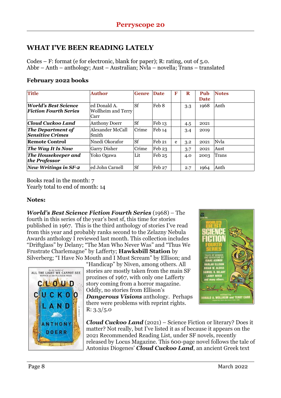# **WHAT I'VE BEEN READING LATELY**

Codes – F: format (e for electronic, blank for paper); R: rating, out of 5.0. Abbr – Anth – anthology; Aust – Australian; Nvla – novella; Trans – translated

### **February 2022 books**

| <b>Title</b>                                          | <b>Author</b>                              | <b>Genre</b> | <b>Date</b>                | F | R   | Pub<br><b>Date</b> | <b>Notes</b> |
|-------------------------------------------------------|--------------------------------------------|--------------|----------------------------|---|-----|--------------------|--------------|
| <b>World's Best Science</b><br> Fiction Fourth Series | ed Donald A.<br>Wollheim and Terry<br>Carr | <b>Sf</b>    | Feb 8                      |   | 3.3 | 1968               | Anth         |
| Cloud Cuckoo Land                                     | <b>Anthony Doerr</b>                       | Sf           | $\text{Feb} 13$            |   | 4.5 | 2021               |              |
| The Department of<br>Sensitive Crimes                 | Alexander McCall<br>Smith                  | Crime        | Feb 14                     |   | 3.4 | 2019               |              |
| <b>Remote Control</b>                                 | Nnedi Okorafor                             | <b>Sf</b>    | Feb 21                     | e | 3.2 | 2021               | Nvla         |
| The Way It Is Now                                     | <b>Garry Disher</b>                        | Crime        | $\mathop{\mathrm{Feb}} 23$ |   | 3.7 | 2021               | Aust         |
| The Housekeeper and<br>the Professor                  | Yoko Ogawa                                 | Lit          | Feb 25                     |   | 4.0 | 2003               | Trans        |
| New Writings in SF-2                                  | ed John Carnell                            | <b>Sf</b>    | Feb 27                     |   | 2.7 | 1964               | Anth         |

Books read in the month: 7 Yearly total to end of month: 14

### **Notes:**

*World's Best Science Fiction Fourth Series* (1968) – The fourth in this series of the year's best sf, this time for stories published in 1967. This is the third anthology of stories I've read from this year and probably ranks second to the Zelazny Nebula Awards anthology I reviewed last month. This collection includes "Driftglass" by Delany; "The Man Who Never Was" and "Thus We Frustrate Charlemagne" by Lafferty; **Hawksbill Station** by Silverberg; "I Have No Mouth and I Must Scream" by Ellison; and



"Handicap" by Niven, among others. All stories are mostly taken from the main SF prozines of 1967, with only one Lafferty story coming from a horror magazine. Oddly, no stories from Ellison's *Dangerous Visions* anthology. Perhaps

there were problems with reprint rights. R: 3.3/5.0



*Cloud Cuckoo Land* (2021) – Science Fiction or literary? Does it matter? Not really, but I've listed it as sf because it appears on the 2021 Recommended Reading List, under SF novels, recently released by Locus Magazine. This 600-page novel follows the tale of Antonius Diogenes' *Cloud Cuckoo Land*, an ancient Greek text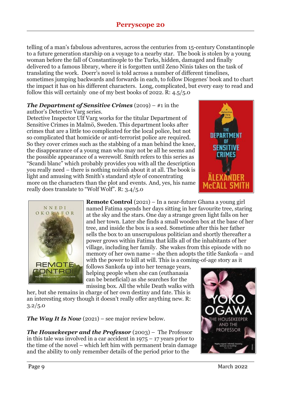telling of a man's fabulous adventures, across the centuries from 15-century Constantinople to a future generation starship on a voyage to a nearby star. The book is stolen by a young woman before the fall of Constantinople to the Turks, hidden, damaged and finally delivered to a famous library, where it is forgotten until Zeno Ninis takes on the task of translating the work. Doerr's novel is told across a number of different timelines, sometimes jumping backwards and forwards in each, to follow Diogenes' book and to chart the impact it has on his different characters. Long, complicated, but every easy to read and follow this will certainly one of my best books of 2022. R: 4.5/5.0

#### *The Department of Sensitive Crimes* (2019) – #1 in the author's Detective Varg series.

Detective Inspector Ulf Varg works for the titular Department of Sensitive Crimes in Malmö, Sweden. This department looks after crimes that are a little too complicated for the local police, but not so complicated that homicide or anti-terrorist police are required. So they cover crimes such as the stabbing of a man behind the knee, the disappearance of a young man who may not be all he seems and the possible appearance of a werewolf. Smith refers to this series as "Scandi blanc" which probably provides you with all the description you really need – there is nothing noirish about it at all. The book is light and amusing with Smith's standard style of concentrating more on the characters than the plot and events. And, yes, his name really does translate to "Wolf Wolf". R: 3.4/5.0





**Remote Control** (2021) – In a near-future Ghana a young girl named Fatima spends her days sitting in her favourite tree, staring at the sky and the stars. One day a strange green light falls on her and her town. Later she finds a small wooden box at the base of her tree, and inside the box is a seed. Sometime after this her father sells the box to an unscrupulous politician and shortly thereafter a power grows within Fatima that kills all of the inhabitants of her village, including her family. She wakes from this episode with no memory of her own name – she then adopts the title Sankofa – and with the power to kill at will. This is a coming-of-age story as it

follows Sankofa up into her teenage years, helping people when she can (euthanasia can be beneficial) as she searches for the missing box. All the while Death walks with

her, but she remains in charge of her own destiny and fate. This is an interesting story though it doesn't really offer anything new. R:  $3.2/5.0$ 

*The Way It Is Now* (2021) – see major review below.

*The Housekeeper and the Professor* (2003) – The Professor in this tale was involved in a car accident in 1975 – 17 years prior to the time of the novel – which left him with permanent brain damage and the ability to only remember details of the period prior to the

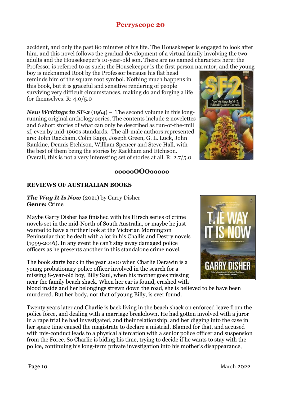accident, and only the past 80 minutes of his life. The Housekeeper is engaged to look after him, and this novel follows the gradual development of a virtual family involving the two adults and the Housekeeper's 10-year-old son. There are no named characters here: the Professor is referred to as such; the Housekeeper is the first person narrator; and the young

boy is nicknamed Root by the Professor because his flat head reminds him of the square root symbol. Nothing much happens in this book, but it is graceful and sensitive rendering of people surviving very difficult circumstances, making do and forging a life for themselves. R: 4.0/5.0

*New Writings in SF-2* (1964) – The second volume in this longrunning original anthology series. The contents include 2 novelettes and 6 short stories of what can only be described as run-of-the-mill sf, even by mid-1960s standards. The all-male authors represented are: John Rackham, Colin Kapp, Joseph Green, G. L. Luck, John Rankine, Dennis Etchison, William Spencer and Steve Hall, with the best of them being the stories by Rackham and Etchison. Overall, this is not a very interesting set of stories at all. R: 2.7/5.0



### **oooooOOOooooo**

### **REVIEWS OF AUSTRALIAN BOOKS**

*The Way It Is Now* (2021) by Garry Disher **Genre:** Crime

Maybe Garry Disher has finished with his Hirsch series of crime novels set in the mid-North of South Australia, or maybe he just wanted to have a further look at the Victorian Mornington Peninsular that he dealt with a lot in his Challis and Destry novels (1999-2016). In any event he can't stay away damaged police officers as he presents another in this standalone crime novel.

The book starts back in the year 2000 when Charlie Derawin is a young probationary police officer involved in the search for a missing 8-year-old boy, Billy Saul, when his mother goes missing near the family beach shack. When her car is found, crashed with

**GARRY DISHER** 

blood inside and her belongings strewn down the road, she is believed to be have been murdered. But her body, nor that of young Billy, is ever found.

Twenty years later and Charlie is back living in the beach shack on enforced leave from the police force, and dealing with a marriage breakdown. He had gotten involved with a juror in a rape trial he had investigated, and their relationship, and her digging into the case in her spare time caused the magistrate to declare a mistrial. Blamed for that, and accused with mis-conduct leads to a physical altercation with a senior police officer and suspension from the Force. So Charlie is biding his time, trying to decide if he wants to stay with the police, continuing his long-term private investigation into his mother's disappearance,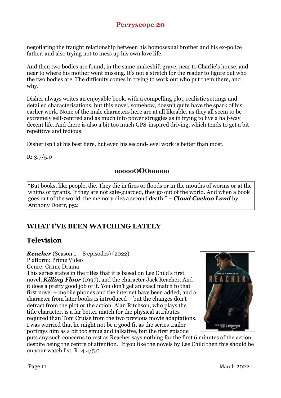negotiating the fraught relationship between his homosexual brother and his ex-police father, and also trying not to mess up his own love life.

And then two bodies are found, in the same makeshift grave, near to Charlie's house, and near to where his mother went missing. It's not a stretch for the reader to figure out who the two bodies are. The difficulty comes in trying to work out who put them there, and why.

Disher always writes an enjoyable book, with a compelling plot, realistic settings and detailed characterisations, but this novel, somehow, doesn't quite have the spark of his earlier work. None of the male characters here are at all likeable, as they all seem to be extremely self-centred and as much into power struggles as in trying to live a half-way decent life. And there is also a bit too much GPS-inspired driving, which tends to get a bit repetitive and tedious.

Disher isn't at his best here, but even his second-level work is better than most.

R: 3.7/5.0

## **oooooOOOooooo**

"But books, like people, die. They die in fires or floods or in the mouths of worms or at the whims of tyrants. If they are not safe-guarded, they go out of the world. And when a book goes out of the world, the memory dies a second death." – *Cloud Cuckoo Land* by Anthony Doerr, p52

# **WHAT I'VE BEEN WATCHING LATELY**

# **Television**

*Reacher* (Season 1 – 8 episodes) (2022) Platform: Prime Video Genre: Crime Drama This series states in the titles that it is based on Lee Child's first novel, *Killing Floor* (1997), and the character Jack Reacher. And it does a pretty good job of it. You don't get an exact match to that first novel – mobile phones and the internet have been added, and a character from later books is introduced – but the changes don't detract from the plot or the action. Alan Ritchson, who plays the title character, is a far better match for the physical attributes required than Tom Cruise from the two previous movie adaptations. I was worried that he might not be a good fit as the series trailer portrays him as a bit too smug and talkative, but the first episode



puts any such concerns to rest as Reacher says nothing for the first 6 minutes of the action, despite being the centre of attention. If you like the novels by Lee Child then this should be on your watch list. R: 4.4/5.0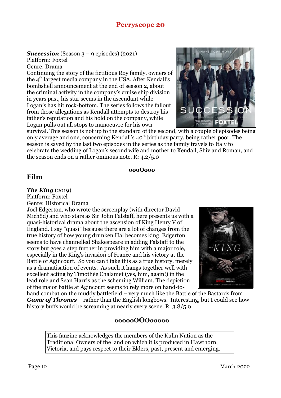*Succession* (Season 3 – 9 episodes) (2021) Platform: Foxtel

Genre: Drama

Continuing the story of the fictitious Roy family, owners of the 4<sup>th</sup> largest media company in the USA. After Kendall's bombshell announcement at the end of season 2, about the criminal activity in the company's cruise ship division in years past, his star seems in the ascendant while Logan's has hit rock-bottom. The series follows the fallout from those allegations as Kendall attempts to destroy his father's reputation and his hold on the company, while Logan pulls out all stops to manoeuvre for his own



survival. This season is not up to the standard of the second, with a couple of episodes being only average and one, concerning Kendall's 40<sup>th</sup> birthday party, being rather poor. The season is saved by the last two episodes in the series as the family travels to Italy to celebrate the wedding of Logan's second wife and mother to Kendall, Shiv and Roman, and the season ends on a rather ominous note. R: 4.2/5.0

#### **oooOooo**

## **Film**

*The King (2019)* 

Platform: Foxtel Genre: Historical Drama

Joel Edgerton, who wrote the screenplay (with director David Michôd) and who stars as Sir John Falstaff, here presents us with a quasi-historical drama about the ascension of King Henry V of England. I say "quasi" because there are a lot of changes from the true history of how young drunken Hal becomes king. Edgerton seems to have channelled Shakespeare in adding Falstaff to the story but goes a step further in providing him with a major role, especially in the King's invasion of France and his victory at the Battle of Agincourt. So you can't take this as a true history, merely as a dramatisation of events. As such it hangs together well with excellent acting by Timothée Chalamet (yes, him, again!) in the lead role and Sean Harris as the scheming William. The depiction of the major battle at Agincourt seems to rely more on hand-to-



hand combat on the muddy battlefield – very much like the Battle of the Bastards from *Game of Thrones* – rather than the English longbows. Interesting, but I could see how history buffs would be screaming at nearly every scene. R: 3.8/5.0

### **oooooOOOooooo**

This fanzine acknowledges the members of the Kulin Nation as the Traditional Owners of the land on which it is produced in Hawthorn, Victoria, and pays respect to their Elders, past, present and emerging.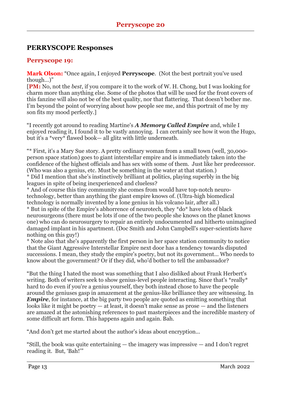## **PERRYSCOPE Responses**

### **Perryscope 19:**

**Mark Olson:** "Once again, I enjoyed **Perryscope**. (Not the best portrait you've used though…)"

[**PM:** No, not the *best*, if you compare it to the work of W. H. Chong, but I was looking for charm more than anything else. Some of the photos that will be used for the front covers of this fanzine will also not be of the best quality, nor that flattering. That doesn't bother me. I'm beyond the point of worrying about how people see me, and this portrait of me by my son fits my mood perfectly.]

"I recently got around to reading Martine's *A Memory Called Empire* and, while I enjoyed reading it, I found it to be vastly annoying. I can certainly see how it won the Hugo, but it's a \*very\* flawed book— all glitz with little underneath.

"\* First, it's a Mary Sue story. A pretty ordinary woman from a small town (well, 30,000 person space station) goes to giant interstellar empire and is immediately taken into the confidence of the highest officials and has sex with some of them. Just like her predecessor. (Who was also a genius, etc. Must be something in the water at that station.)

\* Did I mention that she's instinctively brilliant at politics, playing superbly in the big leagues in spite of being inexperienced and clueless?

\* And of course this tiny community she comes from would have top-notch neurotechnology, better than anything the giant empire knows of. (Ultra-high biomedical technology is normally invented by a lone genius in his volcano lair, after all.)

\* But in spite of the Empire's abhorrence of neurotech, they \*do\* have lots of black neurosurgeons (there must be lots if one of the two people she knows on the planet knows one) who can do neurosurgery to repair an entirely undocumented and hitherto unimagined damaged implant in his apartment. (Doc Smith and John Campbell's super-scientists have nothing on this guy!)

\* Note also that she's apparently the first person in her space station community to notice that the Giant Aggressive Interstellar Empire next door has a tendency towards disputed successions. I mean, they study the empire's poetry, but not its government... Who needs to know about the government? Or if they did, who'd bother to tell the ambassador?

"But the thing I hated the most was something that I also disliked about Frank Herbert's writing. Both of writers seek to show genius-level people interacting. Since that's \*really\* hard to do even if you're a genius yourself, they both instead chose to have the people around the geniuses gasp in amazement at the genius-like brilliance they are witnessing. In *Empire*, for instance, at the big party two people are quoted as emitting something that looks like it might be poetry  $-$  at least, it doesn't make sense as prose  $-$  and the listeners are amazed at the astonishing references to past masterpieces and the incredible mastery of some difficult art form. This happens again and again. Bah.

"And don't get me started about the author's ideas about encryption...

"Still, the book was quite entertaining — the imagery was impressive — and I don't regret reading it. But, 'Bah!'"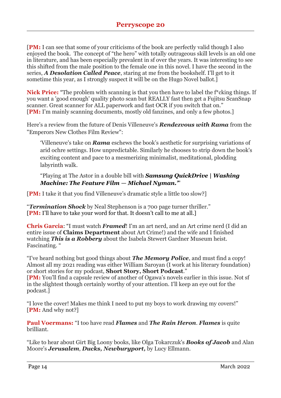[**PM:** I can see that some of your criticisms of the book are perfectly valid though I also enjoyed the book. The concept of "the hero" with totally outrageous skill levels is an old one in literature, and has been especially prevalent in sf over the years. It was interesting to see this shifted from the male position to the female one in this novel. I have the second in the series, *A Desolation Called Peace*, staring at me from the bookshelf. I'll get to it sometime this year, as I strongly suspect it will be on the Hugo Novel ballot.]

**Nick Price:** "The problem with scanning is that you then have to label the f\*cking things. If you want a 'good enough' quality photo scan but REALLY fast then get a Fujitsu ScanSnap scanner. Great scanner for ALL paperwork and fast OCR if you switch that on." [**PM:** I'm mainly scanning documents, mostly old fanzines, and only a few photos.]

Here's a review from the future of Denis Villeneuve's *Rendezvous with Rama* from the "Emperors New Clothes Film Review":

'Villeneuve's take on *Rama* eschews the book's aesthetic for surprising variations of arid ochre settings. How unpredictable. Similarly he chooses to strip down the book's exciting content and pace to a mesmerizing minimalist, meditational, plodding labyrinth walk.

"Playing at The Astor in a double bill with *Samsung QuickDrive | Washing Machine: The Feature Film — Michael Nyman.'*"

[**PM:** I take it that you find Villeneuve's dramatic style a little too slow?]

"*Termination Shock* by Neal Stephenson is a 700 page turner thriller." [**PM:** I'll have to take your word for that. It doesn't call to me at all.]

**Chris Garcia**: "I must watch *Framed*! I'm an art nerd, and an Art crime nerd (I did an entire issue of **Claims Department** about Art Crime!) and the wife and I finished watching *This is a Robbery* about the Isabela Stewert Gardner Museum heist. Fascinating. "

"I've heard nothing but good things about *The Memory Police*, and must find a copy! Almost all my 2021 reading was either William Saroyan (I work at his literary foundation) or short stories for my podcast, **Short Story, Short Podcast**."

[**PM:** You'll find a capsule review of another of Ogawa's novels earlier in this issue. Not sf in the slightest though certainly worthy of your attention. I'll keep an eye out for the podcast.]

"I love the cover! Makes me think I need to put my boys to work drawing my covers!" [**PM:** And why not?]

**Paul Voermans:** "I too have read *Flames* and *The Rain Heron*. *Flames* is quite brilliant.

"Like to hear about Girt Big Loony books, like Olga Tokarczuk's *Books of Jacob* and Alan Moore's *Jerusalem*, *Ducks, Newburyport,* by Lucy Ellmann.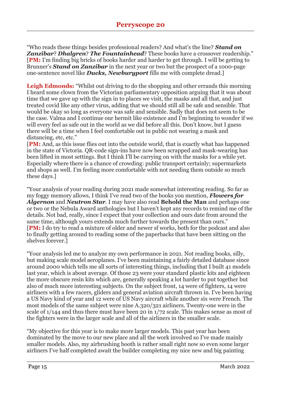"Who reads these things besides professional readers? And what's the line? *Stand on Zanzibar*? *Dhalgren*? *The Fountainhead*? These books have a crossover readership." [**PM:** I'm finding big bricks of books harder and harder to get through. I will be getting to Brunner's *Stand on Zanzibar* in the next year or two but the prospect of a 1000-page one-sentence novel like *Ducks, Newburyport* fills me with complete dread.]

Leigh Edmonds: "Whilst out driving to do the shopping and other errands this morning I heard some clown from the Victorian parliamentary opposition arguing that it was about time that we gave up with the sign in to places we visit, the masks and all that, and just treated covid like any other virus, adding that we should still all be safe and sensible. That would be okay so long as everyone was safe and sensible. Sadly that does not seem to be the case. Valma and I continue our hermit like existence and I'm beginning to wonder if we will every feel as safe out in the world as we did before all this. Don't know, but I guess there will be a time when I feel comfortable out in public not wearing a mask and distancing, etc, etc."

[**PM:** And, as this issue flies out into the outside world, that is exactly what has happened in the state of Victoria. QR-code sign-ins have now been scrapped and mask-wearing has been lifted in most settings. But I think I'll be carrying on with the masks for a while yet. Especially where there is a chance of crowding: public transport certainly; supermarkets and shops as well. I'm feeling more comfortable with not needing them outside so much these days.]

"Your analysis of your reading during 2021 made somewhat interesting reading. So far as my foggy memory allows, I think I've read two of the books you mention, *Flowers for Algernon* and *Neutron Star*. I may have also read **Behold the Man** and perhaps one or two or the Nebula Award anthologies but I haven't kept any records to remind me of the details. Not bad, really, since I expect that your collection and ours date from around the same time, although yours extends much further towards the present than ours." [**PM:** I do try to read a mixture of older and newer sf works, both for the podcast and also to finally getting around to reading some of the paperbacks that have been sitting on the shelves forever.]

"Your analysis led me to analyze my own performance in 2021. Not reading books, silly, but making scale model aeroplanes. I've been maintaining a fairly detailed database since around 2000 which tells me all sorts of interesting things, including that I built 41 models last year, which is about average. Of those 23 were your standard plastic kits and eighteen the more obscure resin kits which are, generally speaking a lot harder to put together but also of much more interesting subjects. On the subject front, 14 were of fighters, 14 were airliners with a few racers, gliders and general aviation aircraft thrown in. I've been having a US Navy kind of year and 12 were of US Navy aircraft while another six were French. The most models of the same subject were nine A.320/321 airliners. Twenty-one were in the scale of 1/144 and thus there must have been 20 in 1/72 scale. This makes sense as most of the fighters were in the larger scale and all of the airliners in the smaller scale.

"My objective for this year is to make more larger models. This past year has been dominated by the move to our new place and all the work involved so I've made mainly smaller models. Also, my airbrushing booth is rather small right now so even some larger airliners I've half completed await the builder completing my nice new and big painting